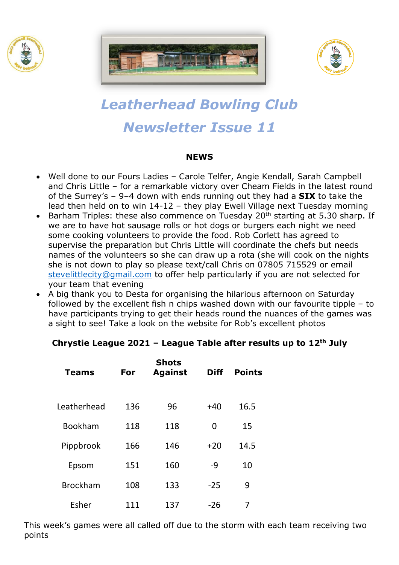





# *Leatherhead Bowling Club Newsletter Issue 11*

#### **NEWS**

- Well done to our Fours Ladies Carole Telfer, Angie Kendall, Sarah Campbell and Chris Little – for a remarkable victory over Cheam Fields in the latest round of the Surrey's – 9–4 down with ends running out they had a **SIX** to take the lead then held on to win 14-12 – they play Ewell Village next Tuesday morning
- Barham Triples: these also commence on Tuesday  $20<sup>th</sup>$  starting at 5.30 sharp. If we are to have hot sausage rolls or hot dogs or burgers each night we need some cooking volunteers to provide the food. Rob Corlett has agreed to supervise the preparation but Chris Little will coordinate the chefs but needs names of the volunteers so she can draw up a rota (she will cook on the nights she is not down to play so please text/call Chris on 07805 715529 or email [stevelittlecity@gmail.com](mailto:stevelittlecity@gmail.com) to offer help particularly if you are not selected for your team that evening
- A big thank you to Desta for organising the hilarious afternoon on Saturday followed by the excellent fish n chips washed down with our favourite tipple – to have participants trying to get their heads round the nuances of the games was a sight to see! Take a look on the website for Rob's excellent photos

## **Chrystie League 2021 – League Table after results up to 12th July**

| <b>Teams</b>    | For | <b>Shots</b><br><b>Against</b> | <b>Diff</b> | <b>Points</b> |
|-----------------|-----|--------------------------------|-------------|---------------|
| Leatherhead     | 136 | 96                             | $+40$       | 16.5          |
| <b>Bookham</b>  | 118 | 118                            | 0           | 15            |
| Pippbrook       | 166 | 146                            | $+20$       | 14.5          |
| Epsom           | 151 | 160                            | -9          | 10            |
| <b>Brockham</b> | 108 | 133                            | $-25$       | 9             |
| Esher           | 111 | 137                            | $-26$       | 7             |

This week's games were all called off due to the storm with each team receiving two points